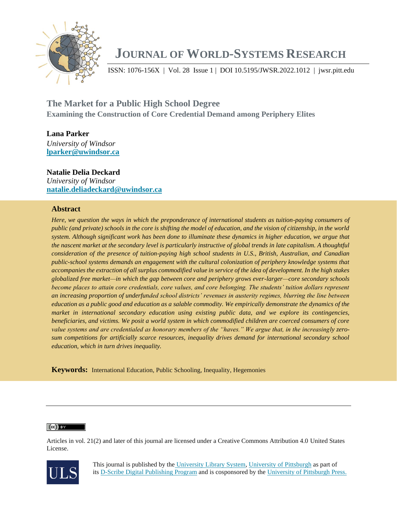

# **JOURNAL OF WORLD-SYSTEMS RESEARCH**

ISSN: 1076-156X | Vol. 28 Issue 1 | DOI 10.5195/JWSR.2022.1012 | jwsr.pitt.edu

**The Market for a Public High School Degree Examining the Construction of Core Credential Demand among Periphery Elites**

**Lana Parker** *University of Windsor* **[lparker@uwindsor.ca](mailto:lparker@uwindsor.ca)**

## **Natalie Delia Deckard**

*University of Windsor* **[natalie.deliadeckard@uwindsor.ca](mailto:natalie.deliadeckard@uwindsor.ca)**

## **Abstract**

*Here, we question the ways in which the preponderance of international students as tuition-paying consumers of public (and private) schools in the core is shifting the model of education, and the vision of citizenship, in the world system. Although significant work has been done to illuminate these dynamics in higher education, we argue that the nascent market at the secondary level is particularly instructive of global trends in late capitalism. A thoughtful consideration of the presence of tuition-paying high school students in U.S., British, Australian, and Canadian public-school systems demands an engagement with the cultural colonization of periphery knowledge systems that accompanies the extraction of all surplus commodified value in service of the idea of development. In the high stakes globalized free market—in which the gap between core and periphery grows ever-larger—core secondary schools become places to attain core credentials, core values, and core belonging. The students' tuition dollars represent an increasing proportion of underfunded school districts' revenues in austerity regimes, blurring the line between education as a public good and education as a salable commodity. We empirically demonstrate the dynamics of the market in international secondary education using existing public data, and we explore its contingencies, beneficiaries, and victims. We posit a world system in which commodified children are coerced consumers of core value systems and are credentialed as honorary members of the "haves." We argue that, in the increasingly zero*sum competitions for artificially scarce resources, inequality drives demand for international secondary school *education, which in turn drives inequality.*

**Keywords:** International Education, Public Schooling, Inequality, Hegemonies

#### $(cc)$  BY

Articles in vol. 21(2) and later of this journal are licensed under a Creative Commons Attribution 4.0 United States License.



This journal is published by the [University Library System,](http://www.library.pitt.edu/) [University of Pittsburgh](http://www.pitt.edu/) as part of its [D-Scribe Digital Publishing Program](http://www.library.pitt.edu/articles/digpubtype/index.html) and is cosponsored by the [University of Pittsburgh Press.](http://upress.pitt.edu/)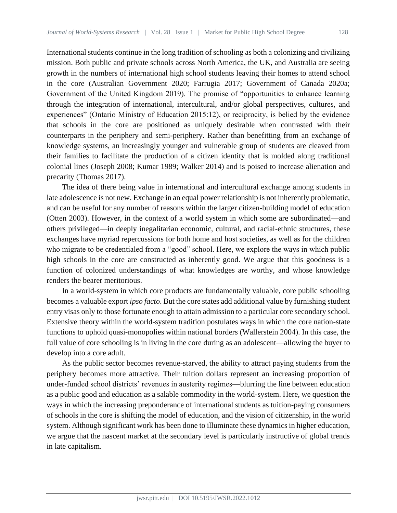International students continue in the long tradition of schooling as both a colonizing and civilizing mission. Both public and private schools across North America, the UK, and Australia are seeing growth in the numbers of international high school students leaving their homes to attend school in the core (Australian Government 2020; Farrugia 2017; Government of Canada 2020a; Government of the United Kingdom 2019). The promise of "opportunities to enhance learning through the integration of international, intercultural, and/or global perspectives, cultures, and experiences" (Ontario Ministry of Education 2015:12), or reciprocity, is belied by the evidence that schools in the core are positioned as uniquely desirable when contrasted with their counterparts in the periphery and semi-periphery. Rather than benefitting from an exchange of knowledge systems, an increasingly younger and vulnerable group of students are cleaved from their families to facilitate the production of a citizen identity that is molded along traditional colonial lines (Joseph 2008; Kumar 1989; Walker 2014) and is poised to increase alienation and precarity (Thomas 2017).

The idea of there being value in international and intercultural exchange among students in late adolescence is not new. Exchange in an equal power relationship is not inherently problematic, and can be useful for any number of reasons within the larger citizen-building model of education (Otten 2003). However, in the context of a world system in which some are subordinated—and others privileged—in deeply inegalitarian economic, cultural, and racial-ethnic structures, these exchanges have myriad repercussions for both home and host societies, as well as for the children who migrate to be credentialed from a "good" school. Here, we explore the ways in which public high schools in the core are constructed as inherently good. We argue that this goodness is a function of colonized understandings of what knowledges are worthy, and whose knowledge renders the bearer meritorious.

In a world-system in which core products are fundamentally valuable, core public schooling becomes a valuable export *ipso facto*. But the core states add additional value by furnishing student entry visas only to those fortunate enough to attain admission to a particular core secondary school. Extensive theory within the world-system tradition postulates ways in which the core nation-state functions to uphold quasi-monopolies within national borders (Wallerstein 2004). In this case, the full value of core schooling is in living in the core during as an adolescent—allowing the buyer to develop into a core adult.

As the public sector becomes revenue-starved, the ability to attract paying students from the periphery becomes more attractive. Their tuition dollars represent an increasing proportion of under-funded school districts' revenues in austerity regimes—blurring the line between education as a public good and education as a salable commodity in the world-system. Here, we question the ways in which the increasing preponderance of international students as tuition-paying consumers of schools in the core is shifting the model of education, and the vision of citizenship, in the world system. Although significant work has been done to illuminate these dynamics in higher education, we argue that the nascent market at the secondary level is particularly instructive of global trends in late capitalism.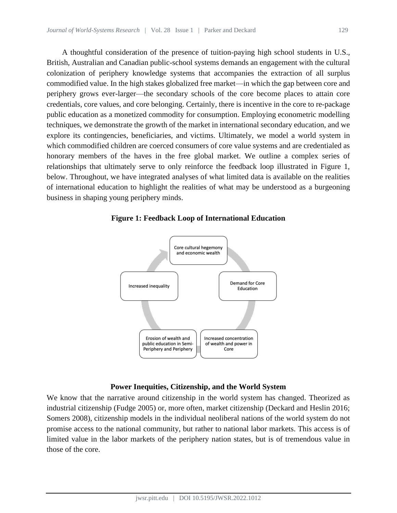A thoughtful consideration of the presence of tuition-paying high school students in U.S., British, Australian and Canadian public-school systems demands an engagement with the cultural colonization of periphery knowledge systems that accompanies the extraction of all surplus commodified value. In the high stakes globalized free market—in which the gap between core and periphery grows ever-larger—the secondary schools of the core become places to attain core credentials, core values, and core belonging. Certainly, there is incentive in the core to re-package public education as a monetized commodity for consumption. Employing econometric modelling techniques, we demonstrate the growth of the market in international secondary education, and we explore its contingencies, beneficiaries, and victims. Ultimately, we model a world system in which commodified children are coerced consumers of core value systems and are credentialed as honorary members of the haves in the free global market. We outline a complex series of relationships that ultimately serve to only reinforce the feedback loop illustrated in Figure 1, below. Throughout, we have integrated analyses of what limited data is available on the realities of international education to highlight the realities of what may be understood as a burgeoning business in shaping young periphery minds.



**Figure 1: Feedback Loop of International Education**

### **Power Inequities, Citizenship, and the World System**

We know that the narrative around citizenship in the world system has changed. Theorized as industrial citizenship (Fudge 2005) or, more often, market citizenship (Deckard and Heslin 2016; Somers 2008), citizenship models in the individual neoliberal nations of the world system do not promise access to the national community, but rather to national labor markets. This access is of limited value in the labor markets of the periphery nation states, but is of tremendous value in those of the core.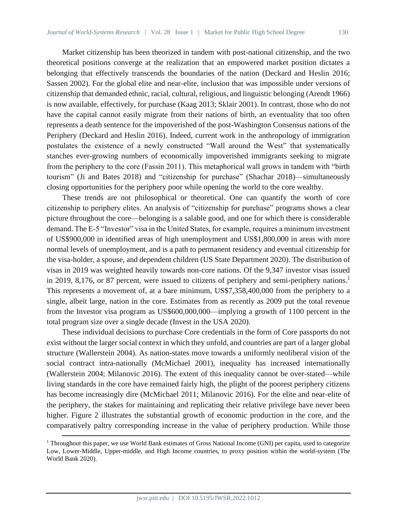Market citizenship has been theorized in tandem with post-national citizenship, and the two theoretical positions converge at the realization that an empowered market position dictates a belonging that effectively transcends the boundaries of the nation (Deckard and Heslin 2016; Sassen 2002). For the global elite and near-elite, inclusion that was impossible under versions of citizenship that demanded ethnic, racial, cultural, religious, and linguistic belonging (Arendt 1966) is now available, effectively, for purchase (Kaag 2013; Sklair 2001). In contrast, those who do not have the capital cannot easily migrate from their nations of birth, an eventuality that too often represents a death sentence for the impoverished of the post-Washington Consensus nations of the Periphery (Deckard and Heslin 2016). Indeed, current work in the anthropology of immigration postulates the existence of a newly constructed "Wall around the West" that systematically stanches ever-growing numbers of economically impoverished immigrants seeking to migrate from the periphery to the core (Fassin 2011). This metaphorical wall grows in tandem with "birth tourism" (Ji and Bates 2018) and "citizenship for purchase" (Shachar 2018)—simultaneously closing opportunities for the periphery poor while opening the world to the core wealthy.

These trends are not philosophical or theoretical. One can quantify the worth of core citizenship to periphery elites. An analysis of "citizenship for purchase" programs shows a clear picture throughout the core—belonging is a salable good, and one for which there is considerable demand. The E-5 "Investor" visa in the United States, for example, requires a minimum investment of US\$900,000 in identified areas of high unemployment and US\$1,800,000 in areas with more normal levels of unemployment, and is a path to permanent residency and eventual citizenship for the visa-holder, a spouse, and dependent children (US State Department 2020). The distribution of visas in 2019 was weighted heavily towards non-core nations. Of the 9,347 investor visas issued in 2019, 8,176, or 87 percent, were issued to citizens of periphery and semi-periphery nations.<sup>1</sup> This represents a movement of, at a bare minimum, US\$7,358,400,000 from the periphery to a single, albeit large, nation in the core. Estimates from as recently as 2009 put the total revenue from the Investor visa program as US\$600,000,000—implying a growth of 1100 percent in the total program size over a single decade (Invest in the USA 2020).

These individual decisions to purchase Core credentials in the form of Core passports do not exist without the larger social context in which they unfold, and countries are part of a larger global structure (Wallerstein 2004). As nation-states move towards a uniformly neoliberal vision of the social contract intra-nationally (McMichael 2001), inequality has increased internationally (Wallerstein 2004; Milanovic 2016). The extent of this inequality cannot be over-stated—while living standards in the core have remained fairly high, the plight of the poorest periphery citizens has become increasingly dire (McMichael 2011; Milanovic 2016). For the elite and near-elite of the periphery, the stakes for maintaining and replicating their relative privilege have never been higher. Figure 2 illustrates the substantial growth of economic production in the core, and the comparatively paltry corresponding increase in the value of periphery production. While those

 $1$  Throughout this paper, we use World Bank estimates of Gross National Income (GNI) per capita, used to categorize Low, Lower-Middle, Upper-middle, and High Income countries, to proxy position within the world-system (The World Bank 2020).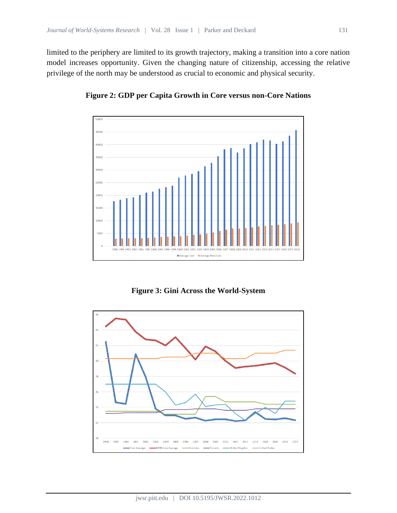limited to the periphery are limited to its growth trajectory, making a transition into a core nation model increases opportunity. Given the changing nature of citizenship, accessing the relative privilege of the north may be understood as crucial to economic and physical security.



**Figure 2: GDP per Capita Growth in Core versus non-Core Nations**

**Figure 3: Gini Across the World-System**

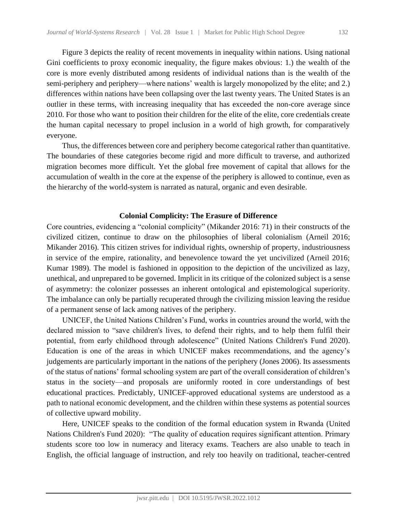Figure 3 depicts the reality of recent movements in inequality within nations. Using national Gini coefficients to proxy economic inequality, the figure makes obvious: 1.) the wealth of the core is more evenly distributed among residents of individual nations than is the wealth of the semi-periphery and periphery—where nations' wealth is largely monopolized by the elite; and 2.) differences within nations have been collapsing over the last twenty years. The United States is an outlier in these terms, with increasing inequality that has exceeded the non-core average since 2010. For those who want to position their children for the elite of the elite, core credentials create the human capital necessary to propel inclusion in a world of high growth, for comparatively everyone.

Thus, the differences between core and periphery become categorical rather than quantitative. The boundaries of these categories become rigid and more difficult to traverse, and authorized migration becomes more difficult. Yet the global free movement of capital that allows for the accumulation of wealth in the core at the expense of the periphery is allowed to continue, even as the hierarchy of the world-system is narrated as natural, organic and even desirable.

#### **Colonial Complicity: The Erasure of Difference**

Core countries, evidencing a "colonial complicity" (Mikander 2016: 71) in their constructs of the civilized citizen, continue to draw on the philosophies of liberal colonialism (Arneil 2016; Mikander 2016). This citizen strives for individual rights, ownership of property, industriousness in service of the empire, rationality, and benevolence toward the yet uncivilized (Arneil 2016; Kumar 1989). The model is fashioned in opposition to the depiction of the uncivilized as lazy, unethical, and unprepared to be governed. Implicit in its critique of the colonized subject is a sense of asymmetry: the colonizer possesses an inherent ontological and epistemological superiority. The imbalance can only be partially recuperated through the civilizing mission leaving the residue of a permanent sense of lack among natives of the periphery.

UNICEF, the United Nations Children's Fund, works in countries around the world, with the declared mission to "save children's lives, to defend their rights, and to help them fulfil their potential, from early childhood through adolescence" (United Nations Children's Fund 2020). Education is one of the areas in which UNICEF makes recommendations, and the agency's judgements are particularly important in the nations of the periphery (Jones 2006). Its assessments of the status of nations' formal schooling system are part of the overall consideration of children's status in the society—and proposals are uniformly rooted in core understandings of best educational practices. Predictably, UNICEF-approved educational systems are understood as a path to national economic development, and the children within these systems as potential sources of collective upward mobility.

Here, UNICEF speaks to the condition of the formal education system in Rwanda (United Nations Children's Fund 2020): "The quality of education requires significant attention. Primary students score too low in numeracy and literacy exams. Teachers are also unable to teach in English, the official language of instruction, and rely too heavily on traditional, teacher-centred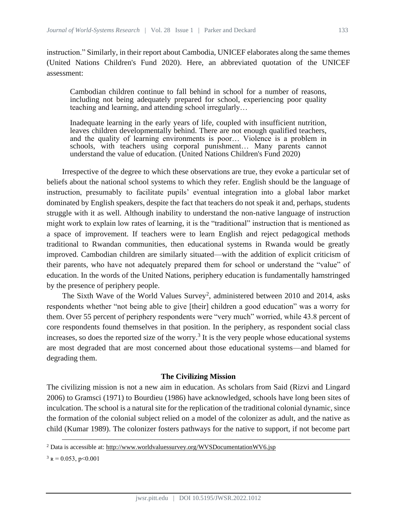instruction." Similarly, in their report about Cambodia, UNICEF elaborates along the same themes (United Nations Children's Fund 2020). Here, an abbreviated quotation of the UNICEF assessment:

Cambodian children continue to fall behind in school for a number of reasons, including not being adequately prepared for school, experiencing poor quality teaching and learning, and attending school irregularly…

Inadequate learning in the early years of life, coupled with insufficient nutrition, leaves children developmentally behind. There are not enough qualified teachers, and the quality of learning environments is poor… Violence is a problem in schools, with teachers using corporal punishment… Many parents cannot understand the value of education. (United Nations Children's Fund 2020)

Irrespective of the degree to which these observations are true, they evoke a particular set of beliefs about the national school systems to which they refer. English should be the language of instruction, presumably to facilitate pupils' eventual integration into a global labor market dominated by English speakers, despite the fact that teachers do not speak it and, perhaps, students struggle with it as well. Although inability to understand the non-native language of instruction might work to explain low rates of learning, it is the "traditional" instruction that is mentioned as a space of improvement. If teachers were to learn English and reject pedagogical methods traditional to Rwandan communities, then educational systems in Rwanda would be greatly improved. Cambodian children are similarly situated—with the addition of explicit criticism of their parents, who have not adequately prepared them for school or understand the "value" of education. In the words of the United Nations, periphery education is fundamentally hamstringed by the presence of periphery people.

The Sixth Wave of the World Values Survey<sup>2</sup>, administered between 2010 and 2014, asks respondents whether "not being able to give [their] children a good education" was a worry for them. Over 55 percent of periphery respondents were "very much" worried, while 43.8 percent of core respondents found themselves in that position. In the periphery, as respondent social class increases, so does the reported size of the worry.<sup>3</sup> It is the very people whose educational systems are most degraded that are most concerned about those educational systems—and blamed for degrading them.

#### **The Civilizing Mission**

The civilizing mission is not a new aim in education. As scholars from Said (Rizvi and Lingard 2006) to Gramsci (1971) to Bourdieu (1986) have acknowledged, schools have long been sites of inculcation. The school is a natural site for the replication of the traditional colonial dynamic, since the formation of the colonial subject relied on a model of the colonizer as adult, and the native as child (Kumar 1989). The colonizer fosters pathways for the native to support, if not become part

 $3 R = 0.053$ , p<0.001

<sup>2</sup> Data is accessible at:<http://www.worldvaluessurvey.org/WVSDocumentationWV6.jsp>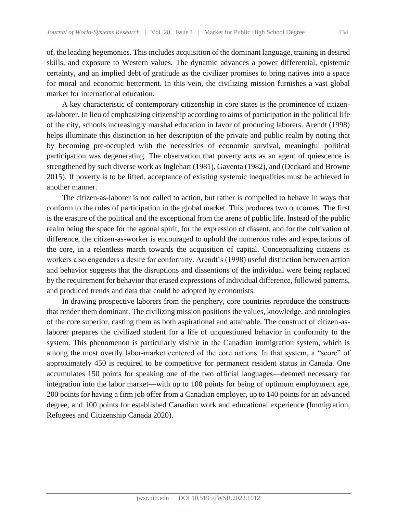of, the leading hegemonies. This includes acquisition of the dominant language, training in desired skills, and exposure to Western values. The dynamic advances a power differential, epistemic certainty, and an implied debt of gratitude as the civilizer promises to bring natives into a space for moral and economic betterment. In this vein, the civilizing mission furnishes a vast global market for international education.

A key characteristic of contemporary citizenship in core states is the prominence of citizenas-laborer. In lieu of emphasizing citizenship according to aims of participation in the political life of the city, schools increasingly marshal education in favor of producing laborers. Arendt (1998) helps illuminate this distinction in her description of the private and public realm by noting that by becoming pre-occupied with the necessities of economic survival, meaningful political participation was degenerating. The observation that poverty acts as an agent of quiescence is strengthened by such diverse work as Inglehart (1981), Gaventa (1982), and (Deckard and Browne 2015). If poverty is to be lifted, acceptance of existing systemic inequalities must be achieved in another manner.

The citizen-as-laborer is not called to action, but rather is compelled to behave in ways that conform to the rules of participation in the global market. This produces two outcomes. The first is the erasure of the political and the exceptional from the arena of public life. Instead of the public realm being the space for the agonal spirit, for the expression of dissent, and for the cultivation of difference, the citizen-as-worker is encouraged to uphold the numerous rules and expectations of the core, in a relentless march towards the acquisition of capital. Conceptualizing citizens as workers also engenders a desire for conformity. Arendt's (1998) useful distinction between action and behavior suggests that the disruptions and dissentions of the individual were being replaced by the requirement for behavior that erased expressions of individual difference, followed patterns, and produced trends and data that could be adopted by economists.

In drawing prospective laborers from the periphery, core countries reproduce the constructs that render them dominant. The civilizing mission positions the values, knowledge, and ontologies of the core superior, casting them as both aspirational and attainable. The construct of citizen-aslaborer prepares the civilized student for a life of unquestioned behavior in conformity to the system. This phenomenon is particularly visible in the Canadian immigration system, which is among the most overtly labor-market centered of the core nations. In that system, a "score" of approximately 450 is required to be competitive for permanent resident status in Canada. One accumulates 150 points for speaking one of the two official languages—deemed necessary for integration into the labor market—with up to 100 points for being of optimum employment age, 200 points for having a firm job offer from a Canadian employer, up to 140 points for an advanced degree, and 100 points for established Canadian work and educational experience (Immigration, Refugees and Citizenship Canada 2020).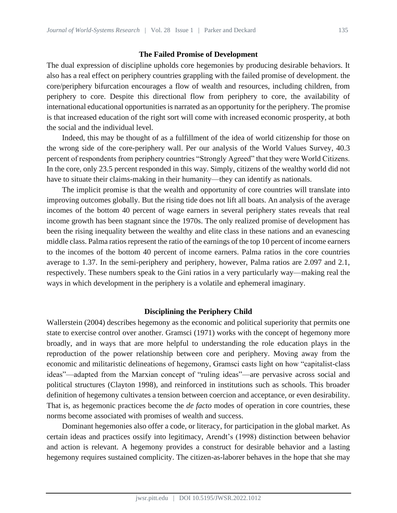#### **The Failed Promise of Development**

The dual expression of discipline upholds core hegemonies by producing desirable behaviors. It also has a real effect on periphery countries grappling with the failed promise of development. the core/periphery bifurcation encourages a flow of wealth and resources, including children, from periphery to core. Despite this directional flow from periphery to core, the availability of international educational opportunities is narrated as an opportunity for the periphery. The promise is that increased education of the right sort will come with increased economic prosperity, at both the social and the individual level.

Indeed, this may be thought of as a fulfillment of the idea of world citizenship for those on the wrong side of the core-periphery wall. Per our analysis of the World Values Survey, 40.3 percent of respondents from periphery countries "Strongly Agreed" that they were World Citizens. In the core, only 23.5 percent responded in this way. Simply, citizens of the wealthy world did not have to situate their claims-making in their humanity—they can identify as nationals.

The implicit promise is that the wealth and opportunity of core countries will translate into improving outcomes globally. But the rising tide does not lift all boats. An analysis of the average incomes of the bottom 40 percent of wage earners in several periphery states reveals that real income growth has been stagnant since the 1970s. The only realized promise of development has been the rising inequality between the wealthy and elite class in these nations and an evanescing middle class. Palma ratios represent the ratio of the earnings of the top 10 percent of income earners to the incomes of the bottom 40 percent of income earners. Palma ratios in the core countries average to 1.37. In the semi-periphery and periphery, however, Palma ratios are 2.097 and 2.1, respectively. These numbers speak to the Gini ratios in a very particularly way—making real the ways in which development in the periphery is a volatile and ephemeral imaginary.

#### **Disciplining the Periphery Child**

Wallerstein (2004) describes hegemony as the economic and political superiority that permits one state to exercise control over another. Gramsci (1971) works with the concept of hegemony more broadly, and in ways that are more helpful to understanding the role education plays in the reproduction of the power relationship between core and periphery. Moving away from the economic and militaristic delineations of hegemony, Gramsci casts light on how "capitalist-class ideas"—adapted from the Marxian concept of "ruling ideas"—are pervasive across social and political structures (Clayton 1998), and reinforced in institutions such as schools. This broader definition of hegemony cultivates a tension between coercion and acceptance, or even desirability. That is, as hegemonic practices become the *de facto* modes of operation in core countries, these norms become associated with promises of wealth and success.

Dominant hegemonies also offer a code, or literacy, for participation in the global market. As certain ideas and practices ossify into legitimacy, Arendt's (1998) distinction between behavior and action is relevant. A hegemony provides a construct for desirable behavior and a lasting hegemony requires sustained complicity. The citizen-as-laborer behaves in the hope that she may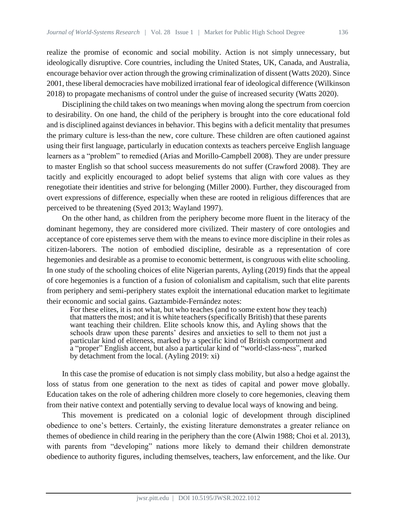realize the promise of economic and social mobility. Action is not simply unnecessary, but ideologically disruptive. Core countries, including the United States, UK, Canada, and Australia, encourage behavior over action through the growing criminalization of dissent (Watts 2020). Since 2001, these liberal democracies have mobilized irrational fear of ideological difference (Wilkinson 2018) to propagate mechanisms of control under the guise of increased security (Watts 2020).

Disciplining the child takes on two meanings when moving along the spectrum from coercion to desirability. On one hand, the child of the periphery is brought into the core educational fold and is disciplined against deviances in behavior. This begins with a deficit mentality that presumes the primary culture is less-than the new, core culture. These children are often cautioned against using their first language, particularly in education contexts as teachers perceive English language learners as a "problem" to remedied (Arias and Morillo-Campbell 2008). They are under pressure to master English so that school success measurements do not suffer (Crawford 2008). They are tacitly and explicitly encouraged to adopt belief systems that align with core values as they renegotiate their identities and strive for belonging (Miller 2000). Further, they discouraged from overt expressions of difference, especially when these are rooted in religious differences that are perceived to be threatening (Syed 2013; Wayland 1997).

On the other hand, as children from the periphery become more fluent in the literacy of the dominant hegemony, they are considered more civilized. Their mastery of core ontologies and acceptance of core epistemes serve them with the means to evince more discipline in their roles as citizen-laborers. The notion of embodied discipline, desirable as a representation of core hegemonies and desirable as a promise to economic betterment, is congruous with elite schooling. In one study of the schooling choices of elite Nigerian parents, Ayling (2019) finds that the appeal of core hegemonies is a function of a fusion of colonialism and capitalism, such that elite parents from periphery and semi-periphery states exploit the international education market to legitimate their economic and social gains. Gaztambide-Fernández notes:

For these elites, it is not what, but who teaches (and to some extent how they teach) that matters the most; and it is white teachers (specifically British) that these parents want teaching their children. Elite schools know this, and Ayling shows that the schools draw upon these parents' desires and anxieties to sell to them not just a particular kind of eliteness, marked by a specific kind of British comportment and a "proper" English accent, but also a particular kind of "world-class-ness", marked by detachment from the local. (Ayling 2019: xi)

In this case the promise of education is not simply class mobility, but also a hedge against the loss of status from one generation to the next as tides of capital and power move globally. Education takes on the role of adhering children more closely to core hegemonies, cleaving them from their native context and potentially serving to devalue local ways of knowing and being.

This movement is predicated on a colonial logic of development through disciplined obedience to one's betters. Certainly, the existing literature demonstrates a greater reliance on themes of obedience in child rearing in the periphery than the core (Alwin 1988; Choi et al. 2013), with parents from "developing" nations more likely to demand their children demonstrate obedience to authority figures, including themselves, teachers, law enforcement, and the like. Our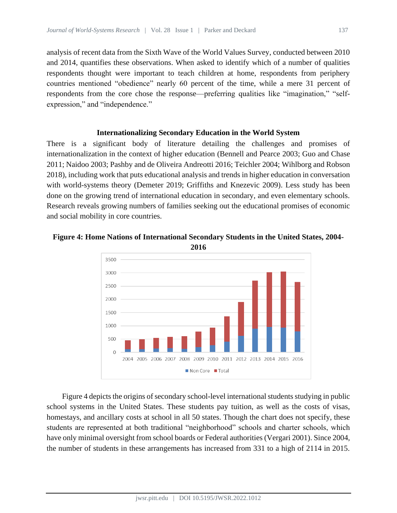analysis of recent data from the Sixth Wave of the World Values Survey, conducted between 2010 and 2014, quantifies these observations. When asked to identify which of a number of qualities respondents thought were important to teach children at home, respondents from periphery countries mentioned "obedience" nearly 60 percent of the time, while a mere 31 percent of respondents from the core chose the response—preferring qualities like "imagination," "selfexpression," and "independence."

## **Internationalizing Secondary Education in the World System**

There is a significant body of literature detailing the challenges and promises of internationalization in the context of higher education (Bennell and Pearce 2003; Guo and Chase 2011; Naidoo 2003; Pashby and de Oliveira Andreotti 2016; Teichler 2004; Wihlborg and Robson 2018), including work that puts educational analysis and trends in higher education in conversation with world-systems theory (Demeter 2019; Griffiths and Knezevic 2009). Less study has been done on the growing trend of international education in secondary, and even elementary schools. Research reveals growing numbers of families seeking out the educational promises of economic and social mobility in core countries.



# **Figure 4: Home Nations of International Secondary Students in the United States, 2004-**

Figure 4 depicts the origins of secondary school-level international students studying in public school systems in the United States. These students pay tuition, as well as the costs of visas, homestays, and ancillary costs at school in all 50 states. Though the chart does not specify, these students are represented at both traditional "neighborhood" schools and charter schools, which have only minimal oversight from school boards or Federal authorities (Vergari 2001). Since 2004, the number of students in these arrangements has increased from 331 to a high of 2114 in 2015.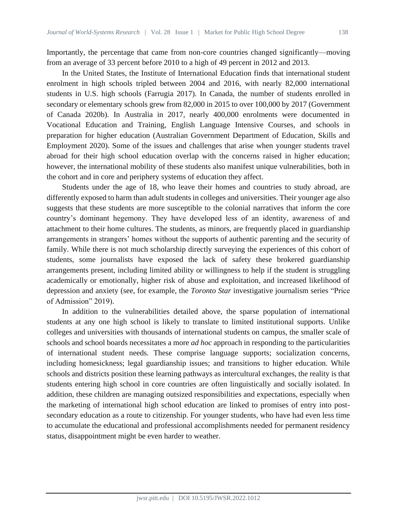Importantly, the percentage that came from non-core countries changed significantly—moving from an average of 33 percent before 2010 to a high of 49 percent in 2012 and 2013.

In the United States, the Institute of International Education finds that international student enrolment in high schools tripled between 2004 and 2016, with nearly 82,000 international students in U.S. high schools (Farrugia 2017). In Canada, the number of students enrolled in secondary or elementary schools grew from 82,000 in 2015 to over 100,000 by 2017 (Government of Canada 2020b). In Australia in 2017, nearly 400,000 enrolments were documented in Vocational Education and Training, English Language Intensive Courses, and schools in preparation for higher education (Australian Government Department of Education, Skills and Employment 2020). Some of the issues and challenges that arise when younger students travel abroad for their high school education overlap with the concerns raised in higher education; however, the international mobility of these students also manifest unique vulnerabilities, both in the cohort and in core and periphery systems of education they affect.

Students under the age of 18, who leave their homes and countries to study abroad, are differently exposed to harm than adult students in colleges and universities. Their younger age also suggests that these students are more susceptible to the colonial narratives that inform the core country's dominant hegemony. They have developed less of an identity, awareness of and attachment to their home cultures. The students, as minors, are frequently placed in guardianship arrangements in strangers' homes without the supports of authentic parenting and the security of family. While there is not much scholarship directly surveying the experiences of this cohort of students, some journalists have exposed the lack of safety these brokered guardianship arrangements present, including limited ability or willingness to help if the student is struggling academically or emotionally, higher risk of abuse and exploitation, and increased likelihood of depression and anxiety (see, for example, the *Toronto Star* investigative journalism series "Price of Admission" 2019).

In addition to the vulnerabilities detailed above, the sparse population of international students at any one high school is likely to translate to limited institutional supports. Unlike colleges and universities with thousands of international students on campus, the smaller scale of schools and school boards necessitates a more *ad hoc* approach in responding to the particularities of international student needs. These comprise language supports; socialization concerns, including homesickness; legal guardianship issues; and transitions to higher education. While schools and districts position these learning pathways as intercultural exchanges, the reality is that students entering high school in core countries are often linguistically and socially isolated. In addition, these children are managing outsized responsibilities and expectations, especially when the marketing of international high school education are linked to promises of entry into postsecondary education as a route to citizenship. For younger students, who have had even less time to accumulate the educational and professional accomplishments needed for permanent residency status, disappointment might be even harder to weather.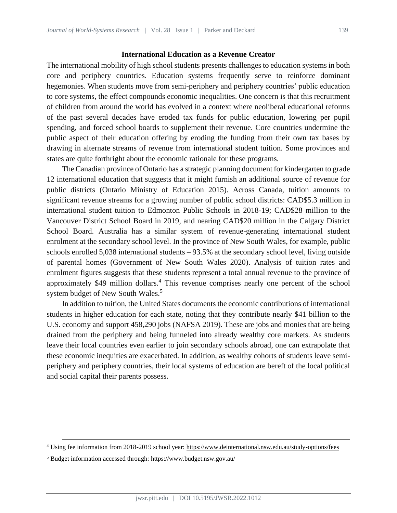### **International Education as a Revenue Creator**

The international mobility of high school students presents challenges to education systems in both core and periphery countries. Education systems frequently serve to reinforce dominant hegemonies. When students move from semi-periphery and periphery countries' public education to core systems, the effect compounds economic inequalities. One concern is that this recruitment of children from around the world has evolved in a context where neoliberal educational reforms of the past several decades have eroded tax funds for public education, lowering per pupil spending, and forced school boards to supplement their revenue. Core countries undermine the public aspect of their education offering by eroding the funding from their own tax bases by drawing in alternate streams of revenue from international student tuition. Some provinces and states are quite forthright about the economic rationale for these programs.

The Canadian province of Ontario has a strategic planning document for kindergarten to grade 12 international education that suggests that it might furnish an additional source of revenue for public districts (Ontario Ministry of Education 2015). Across Canada, tuition amounts to significant revenue streams for a growing number of public school districts: CAD\$5.3 million in international student tuition to Edmonton Public Schools in 2018-19; CAD\$28 million to the Vancouver District School Board in 2019, and nearing CAD\$20 million in the Calgary District School Board. Australia has a similar system of revenue-generating international student enrolment at the secondary school level. In the province of New South Wales, for example, public schools enrolled 5,038 international students – 93.5% at the secondary school level, living outside of parental homes (Government of New South Wales 2020). Analysis of tuition rates and enrolment figures suggests that these students represent a total annual revenue to the province of approximately \$49 million dollars.<sup>4</sup> This revenue comprises nearly one percent of the school system budget of New South Wales.<sup>5</sup>

In addition to tuition, the United States documents the economic contributions of international students in higher education for each state, noting that they contribute nearly \$41 billion to the U.S. economy and support 458,290 jobs (NAFSA 2019). These are jobs and monies that are being drained from the periphery and being funneled into already wealthy core markets. As students leave their local countries even earlier to join secondary schools abroad, one can extrapolate that these economic inequities are exacerbated. In addition, as wealthy cohorts of students leave semiperiphery and periphery countries, their local systems of education are bereft of the local political and social capital their parents possess.

<sup>4</sup> Using fee information from 2018-2019 school year:<https://www.deinternational.nsw.edu.au/study-options/fees>

<sup>5</sup> Budget information accessed through[: https://www.budget.nsw.gov.au/](https://www.budget.nsw.gov.au/)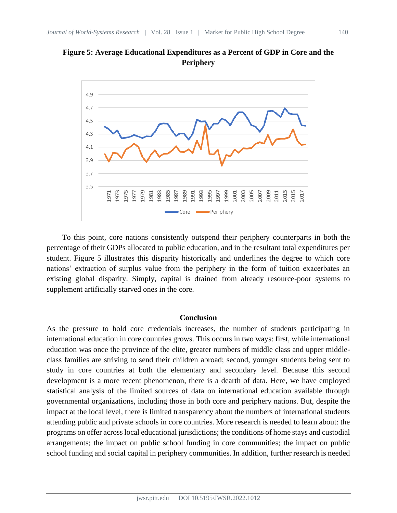



To this point, core nations consistently outspend their periphery counterparts in both the percentage of their GDPs allocated to public education, and in the resultant total expenditures per student. Figure 5 illustrates this disparity historically and underlines the degree to which core nations' extraction of surplus value from the periphery in the form of tuition exacerbates an existing global disparity. Simply, capital is drained from already resource-poor systems to supplement artificially starved ones in the core.

#### **Conclusion**

As the pressure to hold core credentials increases, the number of students participating in international education in core countries grows. This occurs in two ways: first, while international education was once the province of the elite, greater numbers of middle class and upper middleclass families are striving to send their children abroad; second, younger students being sent to study in core countries at both the elementary and secondary level. Because this second development is a more recent phenomenon, there is a dearth of data. Here, we have employed statistical analysis of the limited sources of data on international education available through governmental organizations, including those in both core and periphery nations. But, despite the impact at the local level, there is limited transparency about the numbers of international students attending public and private schools in core countries. More research is needed to learn about: the programs on offer across local educational jurisdictions; the conditions of home stays and custodial arrangements; the impact on public school funding in core communities; the impact on public school funding and social capital in periphery communities. In addition, further research is needed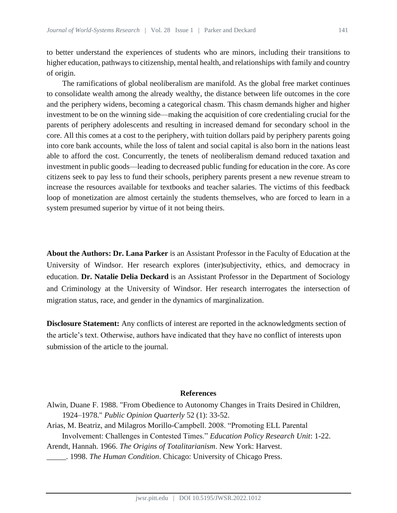to better understand the experiences of students who are minors, including their transitions to higher education, pathways to citizenship, mental health, and relationships with family and country of origin.

The ramifications of global neoliberalism are manifold. As the global free market continues to consolidate wealth among the already wealthy, the distance between life outcomes in the core and the periphery widens, becoming a categorical chasm. This chasm demands higher and higher investment to be on the winning side—making the acquisition of core credentialing crucial for the parents of periphery adolescents and resulting in increased demand for secondary school in the core. All this comes at a cost to the periphery, with tuition dollars paid by periphery parents going into core bank accounts, while the loss of talent and social capital is also born in the nations least able to afford the cost. Concurrently, the tenets of neoliberalism demand reduced taxation and investment in public goods—leading to decreased public funding for education in the core. As core citizens seek to pay less to fund their schools, periphery parents present a new revenue stream to increase the resources available for textbooks and teacher salaries. The victims of this feedback loop of monetization are almost certainly the students themselves, who are forced to learn in a system presumed superior by virtue of it not being theirs.

**About the Authors: Dr. Lana Parker** is an Assistant Professor in the Faculty of Education at the University of Windsor. Her research explores (inter)subjectivity, ethics, and democracy in education. **Dr. Natalie Delia Deckard** is an Assistant Professor in the Department of Sociology and Criminology at the University of Windsor. Her research interrogates the intersection of migration status, race, and gender in the dynamics of marginalization.

**Disclosure Statement:** Any conflicts of interest are reported in the acknowledgments section of the article's text. Otherwise, authors have indicated that they have no conflict of interests upon submission of the article to the journal.

#### **References**

- Alwin, Duane F. 1988. "From Obedience to Autonomy Changes in Traits Desired in Children, 1924–1978." *Public Opinion Quarterly* 52 (1): 33-52.
- Arias, M. Beatriz, and Milagros Morillo-Campbell. 2008. "Promoting ELL Parental Involvement: Challenges in Contested Times." *Education Policy Research Unit*: 1-22.
- Arendt, Hannah. 1966. *The Origins of Totalitarianism*. New York: Harvest.
- \_\_\_\_\_. 1998. *The Human Condition*. Chicago: University of Chicago Press.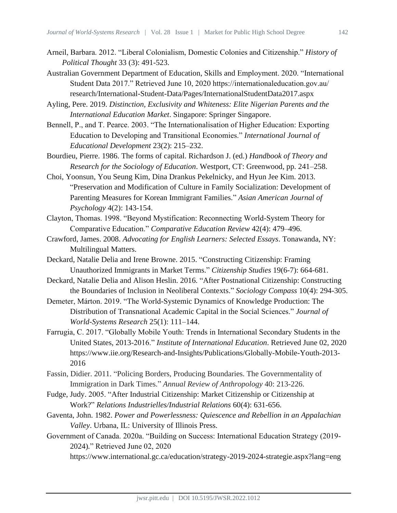- Arneil, Barbara. 2012. "Liberal Colonialism, Domestic Colonies and Citizenship." *History of Political Thought* 33 (3): 491-523.
- Australian Government Department of Education, Skills and Employment. 2020. "International Student Data 2017." Retrieved June 10, 2020 https://internationaleducation.gov.au/ research/International-Student-Data/Pages/InternationalStudentData2017.aspx

Ayling, Pere. 2019. *Distinction, Exclusivity and Whiteness: Elite Nigerian Parents and the International Education Market*. Singapore: Springer Singapore.

- Bennell, P., and T. Pearce. 2003. "The Internationalisation of Higher Education: Exporting Education to Developing and Transitional Economies." *International Journal of Educational Development* 23(2): 215–232.
- Bourdieu, Pierre. 1986. The forms of capital. Richardson J. (ed.) *Handbook of Theory and Research for the Sociology of Education*. Westport, CT: Greenwood, pp. 241–258.
- Choi, Yoonsun, You Seung Kim, Dina Drankus Pekelnicky, and Hyun Jee Kim. 2013. "Preservation and Modification of Culture in Family Socialization: Development of Parenting Measures for Korean Immigrant Families." *Asian American Journal of Psychology* 4(2): 143-154.
- Clayton, Thomas. 1998. "Beyond Mystification: Reconnecting World-System Theory for Comparative Education." *Comparative Education Review* 42(4): 479–496.
- Crawford, James. 2008. *Advocating for English Learners: Selected Essays*. Tonawanda, NY: Multilingual Matters.
- Deckard, Natalie Delia and Irene Browne. 2015. "Constructing Citizenship: Framing Unauthorized Immigrants in Market Terms." *Citizenship Studies* 19(6-7): 664-681.
- Deckard, Natalie Delia and Alison Heslin. 2016. "After Postnational Citizenship: Constructing the Boundaries of Inclusion in Neoliberal Contexts." *Sociology Compass* 10(4): 294-305.
- Demeter, Márton. 2019. "The World-Systemic Dynamics of Knowledge Production: The Distribution of Transnational Academic Capital in the Social Sciences." *Journal of World-Systems Research* 25(1): 111–144.
- Farrugia, C. 2017. "Globally Mobile Youth: Trends in International Secondary Students in the United States, 2013-2016." *Institute of International Education*. Retrieved June 02, 2020 https://www.iie.org/Research-and-Insights/Publications/Globally-Mobile-Youth-2013- 2016
- Fassin, Didier. 2011. "Policing Borders, Producing Boundaries. The Governmentality of Immigration in Dark Times." *Annual Review of Anthropology* 40: 213-226.
- Fudge, Judy. 2005. "After Industrial Citizenship: Market Citizenship or Citizenship at Work?" *Relations Industrielles/Industrial Relations* 60(4): 631-656.
- Gaventa, John. 1982. *Power and Powerlessness: Quiescence and Rebellion in an Appalachian Valley*. Urbana, IL: University of Illinois Press.
- Government of Canada. 2020a. "Building on Success: International Education Strategy (2019- 2024)*.*" Retrieved June 02, 2020
	- https://www.international.gc.ca/education/strategy-2019-2024-strategie.aspx?lang=eng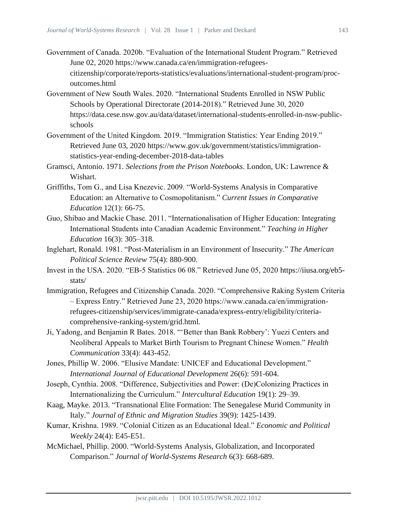- Government of Canada. 2020b. "Evaluation of the International Student Program." Retrieved June 02, 2020 https://www.canada.ca/en/immigration-refugeescitizenship/corporate/reports-statistics/evaluations/international-student-program/procoutcomes.html
- Government of New South Wales. 2020. "International Students Enrolled in NSW Public Schools by Operational Directorate (2014-2018)." Retrieved June 30, 2020 https://data.cese.nsw.gov.au/data/dataset/international-students-enrolled-in-nsw-publicschools
- Government of the United Kingdom. 2019. "Immigration Statistics: Year Ending 2019." Retrieved June 03, 2020 https://www.gov.uk/government/statistics/immigrationstatistics-year-ending-december-2018-data-tables
- Gramsci, Antonio. 1971. *Selections from the Prison Notebooks*. London, UK: Lawrence & Wishart.
- Griffiths, Tom G., and Lisa Knezevic. 2009. "World-Systems Analysis in Comparative Education: an Alternative to Cosmopolitanism." *Current Issues in Comparative Education* 12(1): 66-75.
- Guo, Shibao and Mackie Chase. 2011. "Internationalisation of Higher Education: Integrating International Students into Canadian Academic Environment." *Teaching in Higher Education* 16(3): 305–318.
- Inglehart, Ronald. 1981. "Post-Materialism in an Environment of Insecurity." *The American Political Science Review* 75(4): 880-900.
- Invest in the USA. 2020. "EB-5 Statistics 06 08." Retrieved June 05, 2020 https://iiusa.org/eb5 stats/
- Immigration, Refugees and Citizenship Canada. 2020. "Comprehensive Raking System Criteria – Express Entry." Retrieved June 23, 2020 https://www.canada.ca/en/immigrationrefugees-citizenship/services/immigrate-canada/express-entry/eligibility/criteriacomprehensive-ranking-system/grid.html.
- Ji, Yadong, and Benjamin R Bates. 2018. "'Better than Bank Robbery': Yuezi Centers and Neoliberal Appeals to Market Birth Tourism to Pregnant Chinese Women." *Health Communication* 33(4): 443-452.
- Jones, Phillip W. 2006. "Elusive Mandate: UNICEF and Educational Development." *International Journal of Educational Development* 26(6): 591-604.
- Joseph, Cynthia. 2008. "Difference, Subjectivities and Power: (De)Colonizing Practices in Internationalizing the Curriculum." *Intercultural Education* 19(1): 29–39.
- Kaag, Mayke. 2013. "Transnational Elite Formation: The Senegalese Murid Community in Italy." *Journal of Ethnic and Migration Studies* 39(9): 1425-1439.
- Kumar, Krishna. 1989. "Colonial Citizen as an Educational Ideal." *Economic and Political Weekly* 24(4): E45-E51.
- McMichael, Phillip. 2000. "World-Systems Analysis, Globalization, and Incorporated Comparison." *Journal of World-Systems Research* 6(3): 668-689.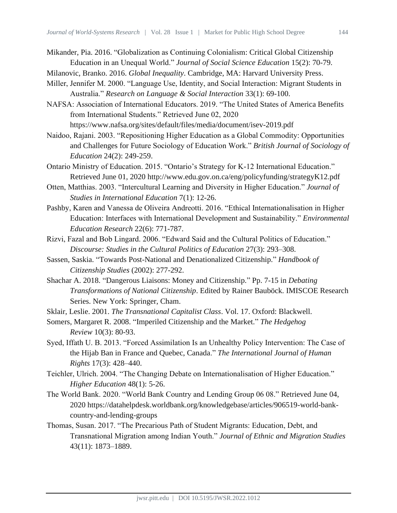- Mikander, Pia. 2016. "Globalization as Continuing Colonialism: Critical Global Citizenship Education in an Unequal World." *Journal of Social Science Education* 15(2): 70-79.
- Milanovic, Branko. 2016. *Global Inequality*. Cambridge, MA: Harvard University Press.
- Miller, Jennifer M. 2000. "Language Use, Identity, and Social Interaction: Migrant Students in Australia." *Research on Language & Social Interaction* 33(1): 69-100.
- NAFSA: Association of International Educators. 2019. "The United States of America Benefits from International Students." Retrieved June 02, 2020 https://www.nafsa.org/sites/default/files/media/document/isev-2019.pdf
- Naidoo, Rajani. 2003. "Repositioning Higher Education as a Global Commodity: Opportunities and Challenges for Future Sociology of Education Work." *British Journal of Sociology of Education* 24(2): 249-259.
- Ontario Ministry of Education. 2015. "Ontario's Strategy for K-12 International Education." Retrieved June 01, 2020 http://www.edu.gov.on.ca/eng/policyfunding/strategyK12.pdf
- Otten, Matthias. 2003. "Intercultural Learning and Diversity in Higher Education." *Journal of Studies in International Education* 7(1): 12-26.
- Pashby, Karen and Vanessa de Oliveira Andreotti. 2016. "Ethical Internationalisation in Higher Education: Interfaces with International Development and Sustainability." *Environmental Education Research* 22(6): 771-787.
- Rizvi, Fazal and Bob Lingard. 2006. "Edward Said and the Cultural Politics of Education." *Discourse: Studies in the Cultural Politics of Education* 27(3): 293–308.
- Sassen, Saskia. "Towards Post-National and Denationalized Citizenship." *Handbook of Citizenship Studies* (2002): 277-292.
- Shachar A. 2018. "Dangerous Liaisons: Money and Citizenship." Pp. 7-15 in *Debating Transformations of National Citizenship*. Edited by Rainer Bauböck. IMISCOE Research Series. New York: Springer, Cham.
- Sklair, Leslie. 2001. *The Transnational Capitalist Class*. Vol. 17. Oxford: Blackwell.
- Somers, Margaret R. 2008. "Imperiled Citizenship and the Market." *The Hedgehog Review* 10(3): 80-93.
- Syed, Iffath U. B. 2013. "Forced Assimilation Is an Unhealthy Policy Intervention: The Case of the Hijab Ban in France and Quebec, Canada." *The International Journal of Human Rights* 17(3): 428–440.
- Teichler, Ulrich. 2004. "The Changing Debate on Internationalisation of Higher Education." *Higher Education* 48(1): 5-26.
- The World Bank. 2020. "World Bank Country and Lending Group 06 08." Retrieved June 04, 2020 https://datahelpdesk.worldbank.org/knowledgebase/articles/906519-world-bankcountry-and-lending-groups
- Thomas, Susan. 2017. "The Precarious Path of Student Migrants: Education, Debt, and Transnational Migration among Indian Youth." *Journal of Ethnic and Migration Studies* 43(11): 1873–1889.